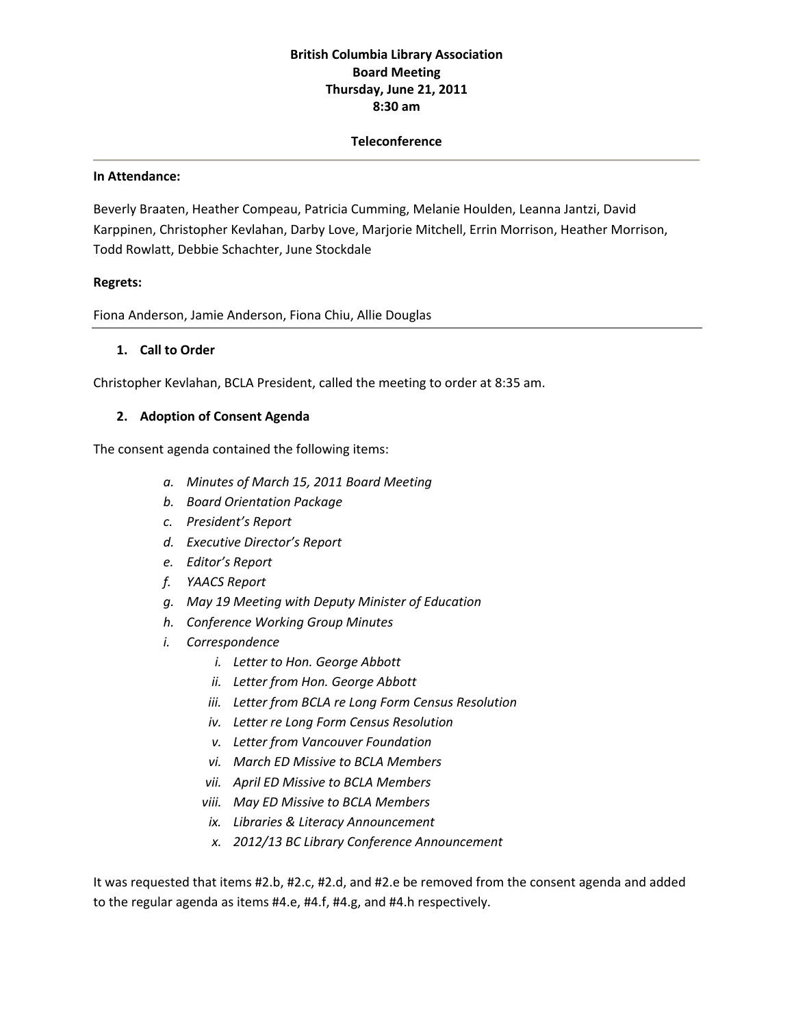## **British Columbia Library Association Board Meeting Thursday, June 21, 2011 8:30 am**

#### **Teleconference**

#### **In Attendance:**

Beverly Braaten, Heather Compeau, Patricia Cumming, Melanie Houlden, Leanna Jantzi, David Karppinen, Christopher Kevlahan, Darby Love, Marjorie Mitchell, Errin Morrison, Heather Morrison, Todd Rowlatt, Debbie Schachter, June Stockdale

#### **Regrets:**

Fiona Anderson, Jamie Anderson, Fiona Chiu, Allie Douglas

#### **1. Call to Order**

Christopher Kevlahan, BCLA President, called the meeting to order at 8:35 am.

#### **2. Adoption of Consent Agenda**

The consent agenda contained the following items:

- *a. Minutes of March 15, 2011 Board Meeting*
- *b. Board Orientation Package*
- *c. President's Report*
- *d. Executive Director's Report*
- *e. Editor's Report*
- *f. YAACS Report*
- *g. May 19 Meeting with Deputy Minister of Education*
- *h. Conference Working Group Minutes*
- *i. Correspondence*
	- *i. Letter to Hon. George Abbott*
	- *ii. Letter from Hon. George Abbott*
	- *iii. Letter from BCLA re Long Form Census Resolution*
	- *iv. Letter re Long Form Census Resolution*
	- *v. Letter from Vancouver Foundation*
	- *vi. March ED Missive to BCLA Members*
	- *vii. April ED Missive to BCLA Members*
	- *viii. May ED Missive to BCLA Members*
	- *ix. Libraries & Literacy Announcement*
	- *x. 2012/13 BC Library Conference Announcement*

It was requested that items #2.b, #2.c, #2.d, and #2.e be removed from the consent agenda and added to the regular agenda as items #4.e, #4.f, #4.g, and #4.h respectively.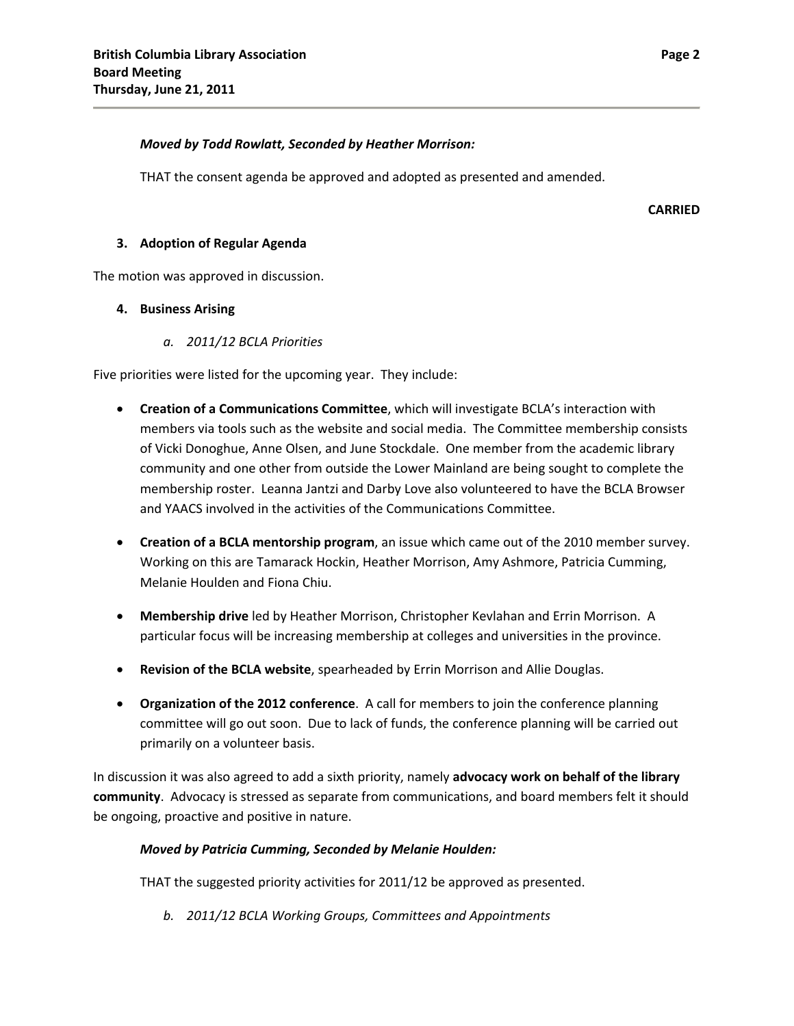#### *Moved by Todd Rowlatt, Seconded by Heather Morrison:*

THAT the consent agenda be approved and adopted as presented and amended.

**CARRIED**

#### **3. Adoption of Regular Agenda**

The motion was approved in discussion.

#### **4. Business Arising**

*a. 2011/12 BCLA Priorities*

Five priorities were listed for the upcoming year. They include:

- **Creation of a Communications Committee**, which will investigate BCLA's interaction with members via tools such as the website and social media. The Committee membership consists of Vicki Donoghue, Anne Olsen, and June Stockdale. One member from the academic library community and one other from outside the Lower Mainland are being sought to complete the membership roster. Leanna Jantzi and Darby Love also volunteered to have the BCLA Browser and YAACS involved in the activities of the Communications Committee.
- **Creation of a BCLA mentorship program**, an issue which came out of the 2010 member survey. Working on this are Tamarack Hockin, Heather Morrison, Amy Ashmore, Patricia Cumming, Melanie Houlden and Fiona Chiu.
- **Membership drive** led by Heather Morrison, Christopher Kevlahan and Errin Morrison. A particular focus will be increasing membership at colleges and universities in the province.
- **Revision of the BCLA website**, spearheaded by Errin Morrison and Allie Douglas.
- **Organization of the 2012 conference**. A call for members to join the conference planning committee will go out soon. Due to lack of funds, the conference planning will be carried out primarily on a volunteer basis.

In discussion it was also agreed to add a sixth priority, namely **advocacy work on behalf of the library community**. Advocacy is stressed as separate from communications, and board members felt it should be ongoing, proactive and positive in nature.

## *Moved by Patricia Cumming, Seconded by Melanie Houlden:*

THAT the suggested priority activities for 2011/12 be approved as presented.

*b. 2011/12 BCLA Working Groups, Committees and Appointments*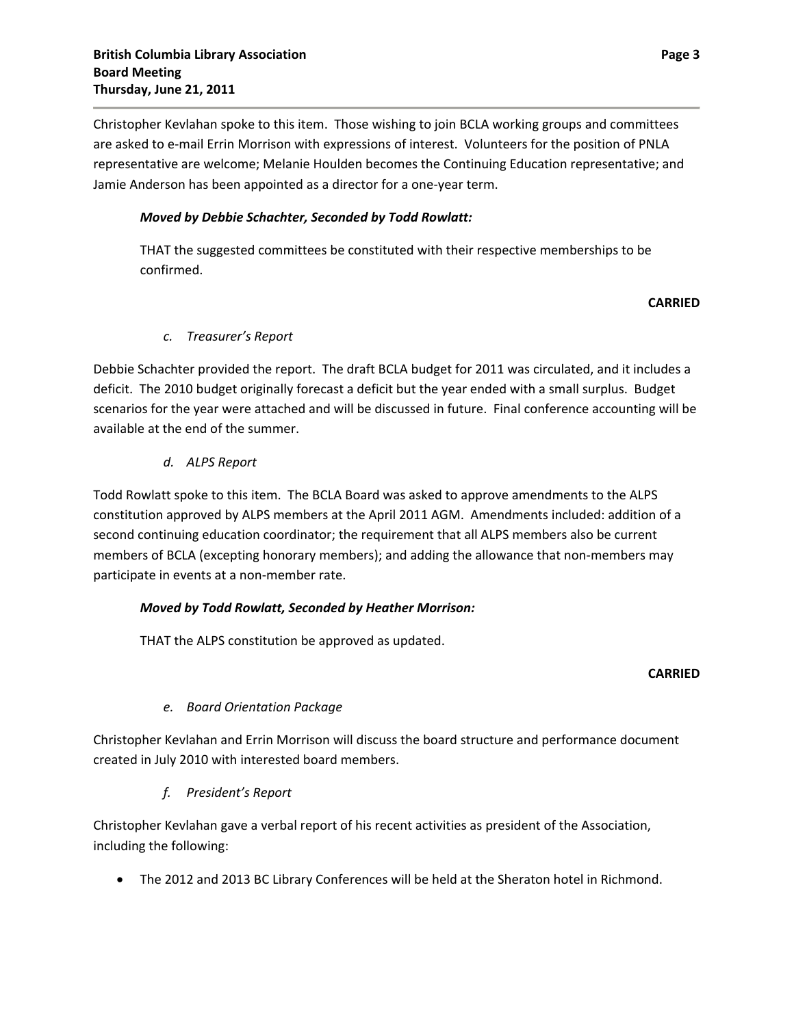Christopher Kevlahan spoke to this item. Those wishing to join BCLA working groups and committees are asked to e-mail Errin Morrison with expressions of interest. Volunteers for the position of PNLA representative are welcome; Melanie Houlden becomes the Continuing Education representative; and Jamie Anderson has been appointed as a director for a one‐year term.

## *Moved by Debbie Schachter, Seconded by Todd Rowlatt:*

THAT the suggested committees be constituted with their respective memberships to be confirmed.

## **CARRIED**

## *c. Treasurer's Report*

Debbie Schachter provided the report. The draft BCLA budget for 2011 was circulated, and it includes a deficit. The 2010 budget originally forecast a deficit but the year ended with a small surplus. Budget scenarios for the year were attached and will be discussed in future. Final conference accounting will be available at the end of the summer.

## *d. ALPS Report*

Todd Rowlatt spoke to this item. The BCLA Board was asked to approve amendments to the ALPS constitution approved by ALPS members at the April 2011 AGM. Amendments included: addition of a second continuing education coordinator; the requirement that all ALPS members also be current members of BCLA (excepting honorary members); and adding the allowance that non-members may participate in events at a non‐member rate.

## *Moved by Todd Rowlatt, Seconded by Heather Morrison:*

THAT the ALPS constitution be approved as updated.

## **CARRIED**

# *e. Board Orientation Package*

Christopher Kevlahan and Errin Morrison will discuss the board structure and performance document created in July 2010 with interested board members.

## *f. President's Report*

Christopher Kevlahan gave a verbal report of his recent activities as president of the Association, including the following:

The 2012 and 2013 BC Library Conferences will be held at the Sheraton hotel in Richmond.